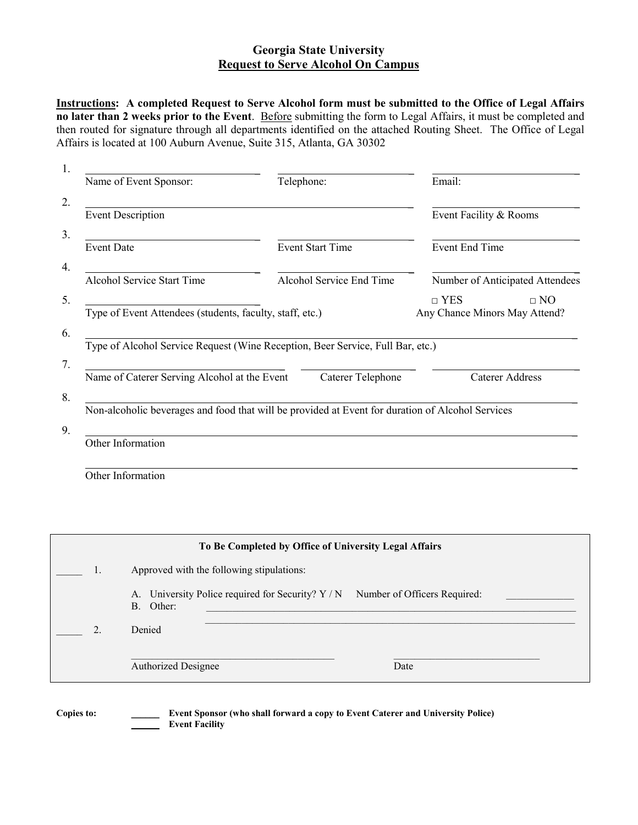## **Georgia State University Request to Serve Alcohol On Campus**

**Instructions: A completed Request to Serve Alcohol form must be submitted to the Office of Legal Affairs no later than 2 weeks prior to the Event**. Before submitting the form to Legal Affairs, it must be completed and then routed for signature through all departments identified on the attached Routing Sheet. The Office of Legal Affairs is located at 100 Auburn Avenue, Suite 315, Atlanta, GA 30302

| Name of Event Sponsor:                                   | Telephone:                                                                     | Email:                                                     |
|----------------------------------------------------------|--------------------------------------------------------------------------------|------------------------------------------------------------|
| <b>Event Description</b>                                 |                                                                                | Event Facility & Rooms                                     |
| <b>Event Date</b>                                        | <b>Event Start Time</b>                                                        | Event End Time                                             |
| <b>Alcohol Service Start Time</b>                        | Alcohol Service End Time                                                       | Number of Anticipated Attendees                            |
| Type of Event Attendees (students, faculty, staff, etc.) |                                                                                | $\sqcap$ YES<br>$\Box$ NO<br>Any Chance Minors May Attend? |
|                                                          | Type of Alcohol Service Request (Wine Reception, Beer Service, Full Bar, etc.) |                                                            |
|                                                          |                                                                                |                                                            |
| Name of Caterer Serving Alcohol at the Event             | Caterer Telephone                                                              | <b>Caterer Address</b>                                     |

| Other Information |
|-------------------|
|-------------------|

| To Be Completed by Office of University Legal Affairs |                                                                                                |  |  |
|-------------------------------------------------------|------------------------------------------------------------------------------------------------|--|--|
| 1.                                                    | Approved with the following stipulations:                                                      |  |  |
|                                                       | A. University Police required for Security? Y / N<br>Number of Officers Required:<br>B. Other: |  |  |
| 2.                                                    | Denied                                                                                         |  |  |
|                                                       | <b>Authorized Designee</b><br>Date                                                             |  |  |

**Copies to: \_\_\_\_\_\_ Event Sponsor (who shall forward a copy to Event Caterer and University Police) \_\_\_\_\_\_ Event Facility**